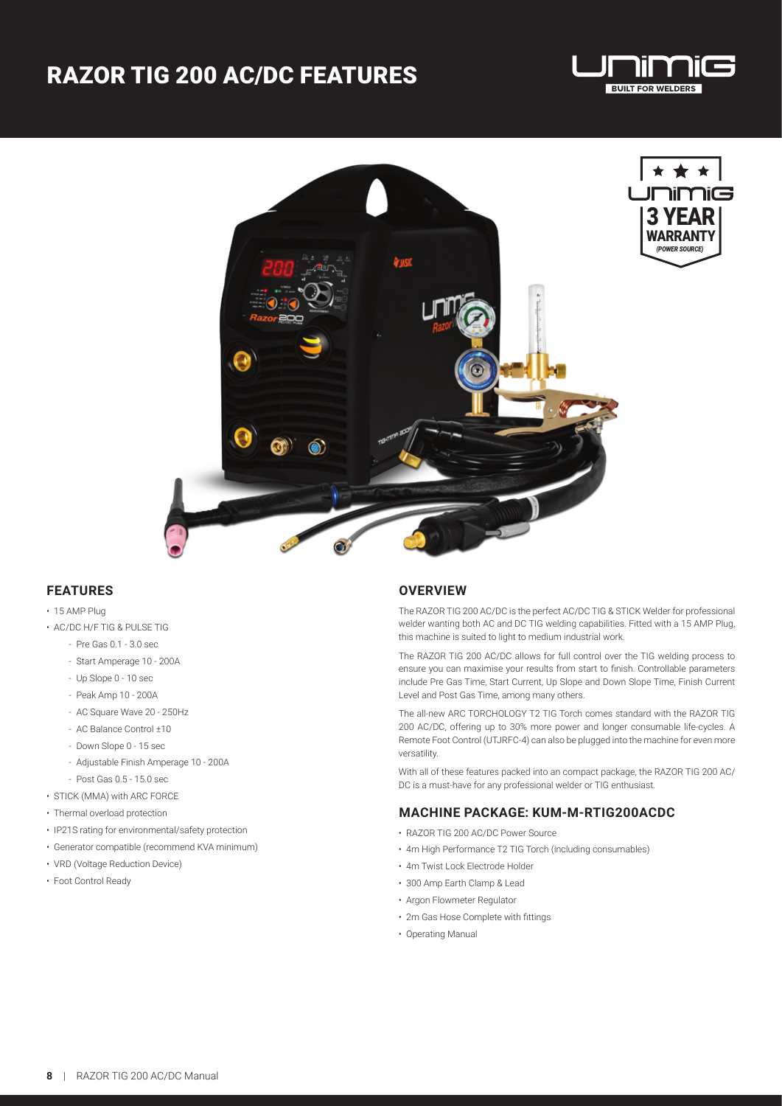## RAZOR TIG 200 AC/DC FEATURES



*(POWER SOURCE)*

**DimiG** 



### **FEATURES**

- 15 AMP Plug
- AC/DC H/F TIG & PULSE TIG
	- Pre Gas 0.1 3.0 sec
	- Start Amperage 10 200A
	- Up Slope 0 10 sec
	- Peak Amp 10 200A
	- AC Square Wave 20 250Hz
	- AC Balance Control ±10
	- Down Slope 0 15 sec
	- Adjustable Finish Amperage 10 200A
	- Post Gas 0.5 15.0 sec
- STICK (MMA) with ARC FORCE
- Thermal overload protection
- IP21S rating for environmental/safety protection
- Generator compatible (recommend KVA minimum)
- VRD (Voltage Reduction Device)
- Foot Control Ready

### **OVERVIEW**

The RAZOR TIG 200 AC/DC is the perfect AC/DC TIG & STICK Welder for professional welder wanting both AC and DC TIG welding capabilities. Fitted with a 15 AMP Plug, this machine is suited to light to medium industrial work.

The RAZOR TIG 200 AC/DC allows for full control over the TIG welding process to ensure you can maximise your results from start to finish. Controllable parameters include Pre Gas Time, Start Current, Up Slope and Down Slope Time, Finish Current Level and Post Gas Time, among many others.

The all-new ARC TORCHOLOGY T2 TIG Torch comes standard with the RAZOR TIG 200 AC/DC, offering up to 30% more power and longer consumable life-cycles. A Remote Foot Control (UTJRFC-4) can also be plugged into the machine for even more versatility.

With all of these features packed into an compact package, the RAZOR TIG 200 AC/ DC is a must-have for any professional welder or TIG enthusiast.

#### **MACHINE PACKAGE: KUM-M-RTIG200ACDC**

- RAZOR TIG 200 AC/DC Power Source
- 4m High Performance T2 TIG Torch (including consumables)
- 4m Twist Lock Electrode Holder
- 300 Amp Earth Clamp & Lead
- Argon Flowmeter Regulator
- 2m Gas Hose Complete with fittings
- Operating Manual